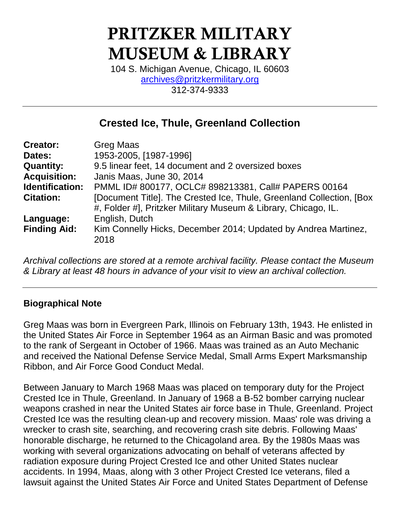# PRITZKER MILITARY MUSEUM & LIBRARY

104 S. Michigan Avenue, Chicago, IL 60603 [archives@pritzkermilitary.org](mailto:archives@pritzkermilitary.org) 312-374-9333

# **Crested Ice, Thule, Greenland Collection**

| <b>Creator:</b>     | <b>Greg Maas</b>                                                                                                                        |
|---------------------|-----------------------------------------------------------------------------------------------------------------------------------------|
| Dates:              | 1953-2005, [1987-1996]                                                                                                                  |
| <b>Quantity:</b>    | 9.5 linear feet, 14 document and 2 oversized boxes                                                                                      |
| <b>Acquisition:</b> | Janis Maas, June 30, 2014                                                                                                               |
| Identification:     | PMML ID# 800177, OCLC# 898213381, Call# PAPERS 00164                                                                                    |
| <b>Citation:</b>    | [Document Title]. The Crested Ice, Thule, Greenland Collection, [Box]<br>#, Folder #], Pritzker Military Museum & Library, Chicago, IL. |
| Language:           | English, Dutch                                                                                                                          |
| <b>Finding Aid:</b> | Kim Connelly Hicks, December 2014; Updated by Andrea Martinez,<br>2018                                                                  |

*Archival collections are stored at a remote archival facility. Please contact the Museum & Library at least 48 hours in advance of your visit to view an archival collection.*

## **Biographical Note**

Greg Maas was born in Evergreen Park, Illinois on February 13th, 1943. He enlisted in the United States Air Force in September 1964 as an Airman Basic and was promoted to the rank of Sergeant in October of 1966. Maas was trained as an Auto Mechanic and received the National Defense Service Medal, Small Arms Expert Marksmanship Ribbon, and Air Force Good Conduct Medal.

Between January to March 1968 Maas was placed on temporary duty for the Project Crested Ice in Thule, Greenland. In January of 1968 a B-52 bomber carrying nuclear weapons crashed in near the United States air force base in Thule, Greenland. Project Crested Ice was the resulting clean-up and recovery mission. Maas' role was driving a wrecker to crash site, searching, and recovering crash site debris. Following Maas' honorable discharge, he returned to the Chicagoland area. By the 1980s Maas was working with several organizations advocating on behalf of veterans affected by radiation exposure during Project Crested Ice and other United States nuclear accidents. In 1994, Maas, along with 3 other Project Crested Ice veterans, filed a lawsuit against the United States Air Force and United States Department of Defense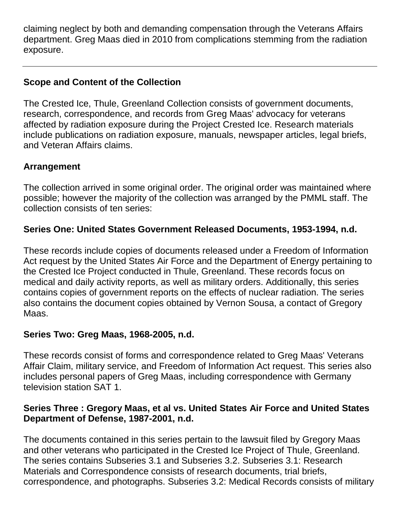claiming neglect by both and demanding compensation through the Veterans Affairs department. Greg Maas died in 2010 from complications stemming from the radiation exposure.

## **Scope and Content of the Collection**

The Crested Ice, Thule, Greenland Collection consists of government documents, research, correspondence, and records from Greg Maas' advocacy for veterans affected by radiation exposure during the Project Crested Ice. Research materials include publications on radiation exposure, manuals, newspaper articles, legal briefs, and Veteran Affairs claims.

## **Arrangement**

The collection arrived in some original order. The original order was maintained where possible; however the majority of the collection was arranged by the PMML staff. The collection consists of ten series:

## **Series One: United States Government Released Documents, 1953-1994, n.d.**

These records include copies of documents released under a Freedom of Information Act request by the United States Air Force and the Department of Energy pertaining to the Crested Ice Project conducted in Thule, Greenland. These records focus on medical and daily activity reports, as well as military orders. Additionally, this series contains copies of government reports on the effects of nuclear radiation. The series also contains the document copies obtained by Vernon Sousa, a contact of Gregory Maas.

## **Series Two: Greg Maas, 1968-2005, n.d.**

These records consist of forms and correspondence related to Greg Maas' Veterans Affair Claim, military service, and Freedom of Information Act request. This series also includes personal papers of Greg Maas, including correspondence with Germany television station SAT 1.

## **Series Three : Gregory Maas, et al vs. United States Air Force and United States Department of Defense, 1987-2001, n.d.**

The documents contained in this series pertain to the lawsuit filed by Gregory Maas and other veterans who participated in the Crested Ice Project of Thule, Greenland. The series contains Subseries 3.1 and Subseries 3.2. Subseries 3.1: Research Materials and Correspondence consists of research documents, trial briefs, correspondence, and photographs. Subseries 3.2: Medical Records consists of military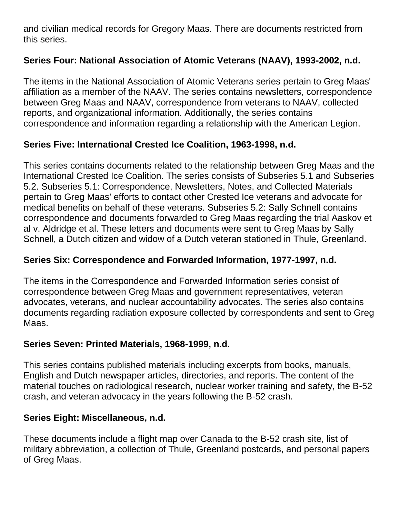and civilian medical records for Gregory Maas. There are documents restricted from this series.

## **Series Four: National Association of Atomic Veterans (NAAV), 1993-2002, n.d.**

The items in the National Association of Atomic Veterans series pertain to Greg Maas' affiliation as a member of the NAAV. The series contains newsletters, correspondence between Greg Maas and NAAV, correspondence from veterans to NAAV, collected reports, and organizational information. Additionally, the series contains correspondence and information regarding a relationship with the American Legion.

## **Series Five: International Crested Ice Coalition, 1963-1998, n.d.**

This series contains documents related to the relationship between Greg Maas and the International Crested Ice Coalition. The series consists of Subseries 5.1 and Subseries 5.2. Subseries 5.1: Correspondence, Newsletters, Notes, and Collected Materials pertain to Greg Maas' efforts to contact other Crested Ice veterans and advocate for medical benefits on behalf of these veterans. Subseries 5.2: Sally Schnell contains correspondence and documents forwarded to Greg Maas regarding the trial Aaskov et al v. Aldridge et al. These letters and documents were sent to Greg Maas by Sally Schnell, a Dutch citizen and widow of a Dutch veteran stationed in Thule, Greenland.

## **Series Six: Correspondence and Forwarded Information, 1977-1997, n.d.**

The items in the Correspondence and Forwarded Information series consist of correspondence between Greg Maas and government representatives, veteran advocates, veterans, and nuclear accountability advocates. The series also contains documents regarding radiation exposure collected by correspondents and sent to Greg Maas.

## **Series Seven: Printed Materials, 1968-1999, n.d.**

This series contains published materials including excerpts from books, manuals, English and Dutch newspaper articles, directories, and reports. The content of the material touches on radiological research, nuclear worker training and safety, the B-52 crash, and veteran advocacy in the years following the B-52 crash.

## **Series Eight: Miscellaneous, n.d.**

These documents include a flight map over Canada to the B-52 crash site, list of military abbreviation, a collection of Thule, Greenland postcards, and personal papers of Greg Maas.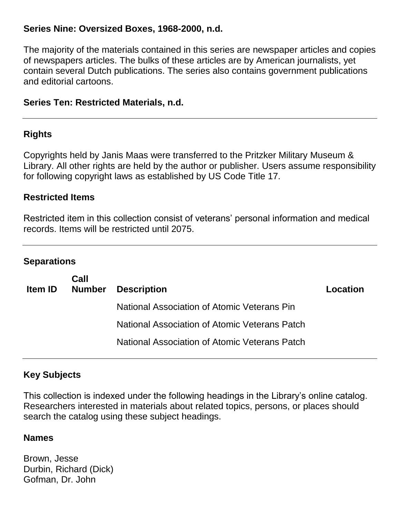#### **Series Nine: Oversized Boxes, 1968-2000, n.d.**

The majority of the materials contained in this series are newspaper articles and copies of newspapers articles. The bulks of these articles are by American journalists, yet contain several Dutch publications. The series also contains government publications and editorial cartoons.

#### **Series Ten: Restricted Materials, n.d.**

#### **Rights**

Copyrights held by Janis Maas were transferred to the Pritzker Military Museum & Library. All other rights are held by the author or publisher. Users assume responsibility for following copyright laws as established by US Code Title 17.

#### **Restricted Items**

Restricted item in this collection consist of veterans' personal information and medical records. Items will be restricted until 2075.

#### **Separations**

| <b>Item ID</b> | Call<br><b>Number</b> | <b>Description</b>                            | Location |
|----------------|-----------------------|-----------------------------------------------|----------|
|                |                       | National Association of Atomic Veterans Pin   |          |
|                |                       | National Association of Atomic Veterans Patch |          |
|                |                       | National Association of Atomic Veterans Patch |          |

## **Key Subjects**

This collection is indexed under the following headings in the Library's online catalog. Researchers interested in materials about related topics, persons, or places should search the catalog using these subject headings.

#### **Names**

Brown, Jesse Durbin, Richard (Dick) Gofman, Dr. John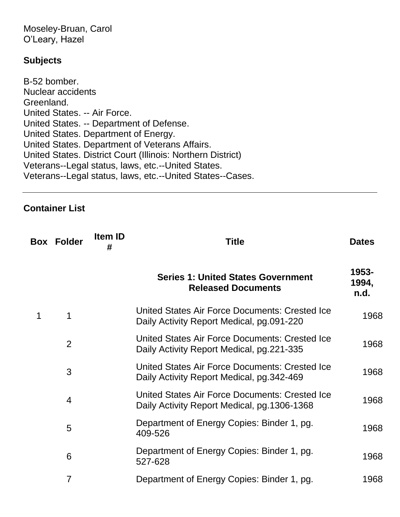Moseley-Bruan, Carol O'Leary, Hazel

#### **Subjects**

B-52 bomber. Nuclear accidents Greenland. United States. -- Air Force. United States. -- Department of Defense. United States. Department of Energy. United States. Department of Veterans Affairs. United States. District Court (Illinois: Northern District) Veterans--Legal status, laws, etc.--United States. Veterans--Legal status, laws, etc.--United States--Cases.

#### **Container List**

|   | <b>Box Folder</b> | Item ID<br># | <b>Title</b>                                                                                       | <b>Dates</b>           |
|---|-------------------|--------------|----------------------------------------------------------------------------------------------------|------------------------|
|   |                   |              | <b>Series 1: United States Government</b><br><b>Released Documents</b>                             | 1953-<br>1994,<br>n.d. |
| 1 | 1                 |              | <b>United States Air Force Documents: Crested Ice</b><br>Daily Activity Report Medical, pg.091-220 | 1968                   |
|   | 2                 |              | <b>United States Air Force Documents: Crested Ice</b><br>Daily Activity Report Medical, pg.221-335 | 1968                   |
|   | 3                 |              | United States Air Force Documents: Crested Ice<br>Daily Activity Report Medical, pg. 342-469       | 1968                   |
|   | $\overline{4}$    |              | United States Air Force Documents: Crested Ice<br>Daily Activity Report Medical, pg. 1306-1368     | 1968                   |
|   | 5                 |              | Department of Energy Copies: Binder 1, pg.<br>409-526                                              | 1968                   |
|   | 6                 |              | Department of Energy Copies: Binder 1, pg.<br>527-628                                              | 1968                   |
|   | 7                 |              | Department of Energy Copies: Binder 1, pg.                                                         | 1968                   |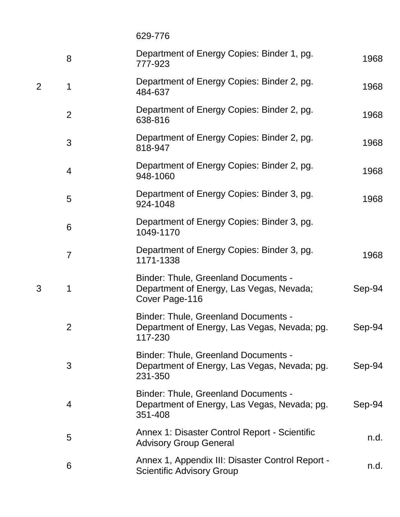629-776

|   | 8              | Department of Energy Copies: Binder 1, pg.<br>777-923                                                     | 1968   |
|---|----------------|-----------------------------------------------------------------------------------------------------------|--------|
| 2 | 1              | Department of Energy Copies: Binder 2, pg.<br>484-637                                                     | 1968   |
|   | $\overline{2}$ | Department of Energy Copies: Binder 2, pg.<br>638-816                                                     | 1968   |
|   | 3              | Department of Energy Copies: Binder 2, pg.<br>818-947                                                     | 1968   |
|   | 4              | Department of Energy Copies: Binder 2, pg.<br>948-1060                                                    | 1968   |
|   | 5              | Department of Energy Copies: Binder 3, pg.<br>924-1048                                                    | 1968   |
|   | 6              | Department of Energy Copies: Binder 3, pg.<br>1049-1170                                                   |        |
|   | 7              | Department of Energy Copies: Binder 3, pg.<br>1171-1338                                                   | 1968   |
| 3 | 1              | <b>Binder: Thule, Greenland Documents -</b><br>Department of Energy, Las Vegas, Nevada;<br>Cover Page-116 | Sep-94 |
|   | $\overline{2}$ | <b>Binder: Thule, Greenland Documents -</b><br>Department of Energy, Las Vegas, Nevada; pg.<br>117-230    | Sep-94 |
|   | 3              | <b>Binder: Thule, Greenland Documents -</b><br>Department of Energy, Las Vegas, Nevada; pg.<br>231-350    | Sep-94 |
|   | 4              | <b>Binder: Thule, Greenland Documents -</b><br>Department of Energy, Las Vegas, Nevada; pg.<br>351-408    | Sep-94 |
|   | 5              | Annex 1: Disaster Control Report - Scientific<br><b>Advisory Group General</b>                            | n.d.   |
|   | 6              | Annex 1, Appendix III: Disaster Control Report -<br><b>Scientific Advisory Group</b>                      | n.d.   |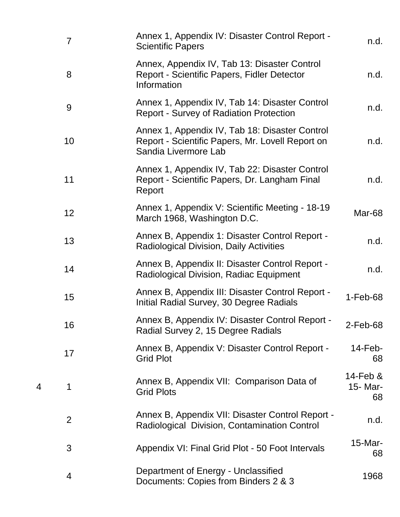| $\overline{7}$ | Annex 1, Appendix IV: Disaster Control Report -<br><b>Scientific Papers</b>                                                | n.d.                          |
|----------------|----------------------------------------------------------------------------------------------------------------------------|-------------------------------|
| 8              | Annex, Appendix IV, Tab 13: Disaster Control<br>Report - Scientific Papers, Fidler Detector<br>Information                 | n.d.                          |
| 9              | Annex 1, Appendix IV, Tab 14: Disaster Control<br><b>Report - Survey of Radiation Protection</b>                           | n.d.                          |
| 10             | Annex 1, Appendix IV, Tab 18: Disaster Control<br>Report - Scientific Papers, Mr. Lovell Report on<br>Sandia Livermore Lab | n.d.                          |
| 11             | Annex 1, Appendix IV, Tab 22: Disaster Control<br>Report - Scientific Papers, Dr. Langham Final<br>Report                  | n.d.                          |
| 12             | Annex 1, Appendix V: Scientific Meeting - 18-19<br>March 1968, Washington D.C.                                             | Mar-68                        |
| 13             | Annex B, Appendix 1: Disaster Control Report -<br><b>Radiological Division, Daily Activities</b>                           | n.d.                          |
| 14             | Annex B, Appendix II: Disaster Control Report -<br><b>Radiological Division, Radiac Equipment</b>                          | n.d.                          |
| 15             | Annex B, Appendix III: Disaster Control Report -<br>Initial Radial Survey, 30 Degree Radials                               | $1-Feb-68$                    |
| 16             | Annex B, Appendix IV: Disaster Control Report -<br>Radial Survey 2, 15 Degree Radials                                      | 2-Feb-68                      |
| 17             | Annex B, Appendix V: Disaster Control Report -<br><b>Grid Plot</b>                                                         | $14$ -Feb-<br>68              |
| 1              | Annex B, Appendix VII: Comparison Data of<br><b>Grid Plots</b>                                                             | $14$ -Feb &<br>15- Mar-<br>68 |
| 2              | Annex B, Appendix VII: Disaster Control Report -<br>Radiological Division, Contamination Control                           | n.d.                          |
| 3              | Appendix VI: Final Grid Plot - 50 Foot Intervals                                                                           | $15$ -Mar-<br>68              |
| 4              | Department of Energy - Unclassified<br>Documents: Copies from Binders 2 & 3                                                | 1968                          |

4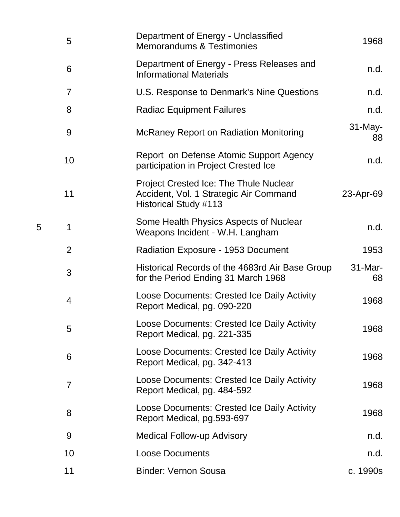| 5  | Department of Energy - Unclassified<br><b>Memorandums &amp; Testimonies</b>                                             | 1968             |
|----|-------------------------------------------------------------------------------------------------------------------------|------------------|
| 6  | Department of Energy - Press Releases and<br><b>Informational Materials</b>                                             | n.d.             |
| 7  | U.S. Response to Denmark's Nine Questions                                                                               | n.d.             |
| 8  | <b>Radiac Equipment Failures</b>                                                                                        | n.d.             |
| 9  | <b>McRaney Report on Radiation Monitoring</b>                                                                           | $31$ -May-<br>88 |
| 10 | Report on Defense Atomic Support Agency<br>participation in Project Crested Ice                                         | n.d.             |
| 11 | <b>Project Crested Ice: The Thule Nuclear</b><br>Accident, Vol. 1 Strategic Air Command<br><b>Historical Study #113</b> | 23-Apr-69        |
| 1  | Some Health Physics Aspects of Nuclear<br>Weapons Incident - W.H. Langham                                               | n.d.             |
| 2  | <b>Radiation Exposure - 1953 Document</b>                                                                               | 1953             |
| 3  | Historical Records of the 4683rd Air Base Group<br>for the Period Ending 31 March 1968                                  | $31$ -Mar-<br>68 |
| 4  | Loose Documents: Crested Ice Daily Activity<br>Report Medical, pg. 090-220                                              | 1968             |
| 5  | Loose Documents: Crested Ice Daily Activity<br>Report Medical, pg. 221-335                                              | 1968             |
| 6  | Loose Documents: Crested Ice Daily Activity<br>Report Medical, pg. 342-413                                              | 1968             |
| 7  | Loose Documents: Crested Ice Daily Activity<br>Report Medical, pg. 484-592                                              | 1968             |
| 8  | Loose Documents: Crested Ice Daily Activity<br>Report Medical, pg.593-697                                               | 1968             |
| 9  | <b>Medical Follow-up Advisory</b>                                                                                       | n.d.             |
| 10 | <b>Loose Documents</b>                                                                                                  | n.d.             |
| 11 | <b>Binder: Vernon Sousa</b>                                                                                             | c. 1990s         |

5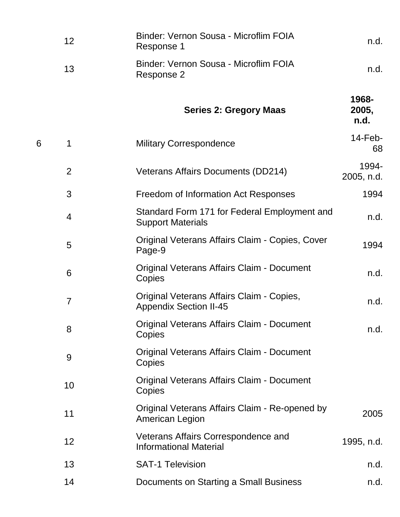|   | 12             | Binder: Vernon Sousa - Microflim FOIA<br>Response 1                        | n.d.                   |
|---|----------------|----------------------------------------------------------------------------|------------------------|
|   | 13             | Binder: Vernon Sousa - Microflim FOIA<br>Response 2                        | n.d.                   |
|   |                | <b>Series 2: Gregory Maas</b>                                              | 1968-<br>2005,<br>n.d. |
| 6 | 1              | <b>Military Correspondence</b>                                             | $14$ -Feb-<br>68       |
|   | $\overline{2}$ | <b>Veterans Affairs Documents (DD214)</b>                                  | 1994-<br>2005, n.d.    |
|   | 3              | Freedom of Information Act Responses                                       | 1994                   |
|   | 4              | Standard Form 171 for Federal Employment and<br><b>Support Materials</b>   | n.d.                   |
|   | 5              | Original Veterans Affairs Claim - Copies, Cover<br>Page-9                  | 1994                   |
|   | 6              | <b>Original Veterans Affairs Claim - Document</b><br>Copies                | n.d.                   |
|   | $\overline{7}$ | Original Veterans Affairs Claim - Copies,<br><b>Appendix Section II-45</b> | n.d.                   |
|   | 8              | <b>Original Veterans Affairs Claim - Document</b><br>Copies                | n.d.                   |
|   | 9              | Original Veterans Affairs Claim - Document<br>Copies                       |                        |
|   | 10             | Original Veterans Affairs Claim - Document<br>Copies                       |                        |
|   | 11             | Original Veterans Affairs Claim - Re-opened by<br><b>American Legion</b>   | 2005                   |
|   | 12             | Veterans Affairs Correspondence and<br><b>Informational Material</b>       | 1995, n.d.             |
|   | 13             | <b>SAT-1 Television</b>                                                    | n.d.                   |
|   | 14             | Documents on Starting a Small Business                                     | n.d.                   |
|   |                |                                                                            |                        |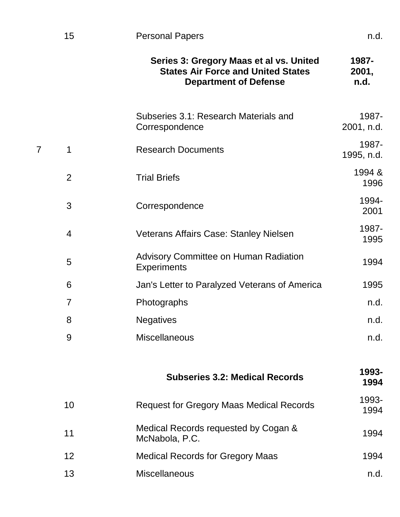|   |                 | Series 3: Gregory Maas et al vs. United<br><b>States Air Force and United States</b><br><b>Department of Defense</b> | 1987-<br>2001,<br>n.d. |
|---|-----------------|----------------------------------------------------------------------------------------------------------------------|------------------------|
|   |                 | Subseries 3.1: Research Materials and<br>Correspondence                                                              | 1987-<br>2001, n.d.    |
| 7 | 1               | <b>Research Documents</b>                                                                                            | 1987-<br>1995, n.d.    |
|   | $\overline{2}$  | <b>Trial Briefs</b>                                                                                                  | 1994 &<br>1996         |
|   | 3               | Correspondence                                                                                                       | 1994-<br>2001          |
|   | 4               | Veterans Affairs Case: Stanley Nielsen                                                                               | 1987-<br>1995          |
|   | 5               | Advisory Committee on Human Radiation<br><b>Experiments</b>                                                          | 1994                   |
|   | 6               | Jan's Letter to Paralyzed Veterans of America                                                                        | 1995                   |
|   | 7               | Photographs                                                                                                          | n.d.                   |
|   | 8               | <b>Negatives</b>                                                                                                     | n.d.                   |
|   | 9               | <b>Miscellaneous</b>                                                                                                 | n.d.                   |
|   |                 | <b>Subseries 3.2: Medical Records</b>                                                                                | 1993-<br>1994          |
|   | 10              | <b>Request for Gregory Maas Medical Records</b>                                                                      | 1993-<br>1994          |
|   | 11              | Medical Records requested by Cogan &<br>McNabola, P.C.                                                               | 1994                   |
|   | 12 <sup>2</sup> | <b>Medical Records for Gregory Maas</b>                                                                              | 1994                   |

13 Miscellaneous **n.d.**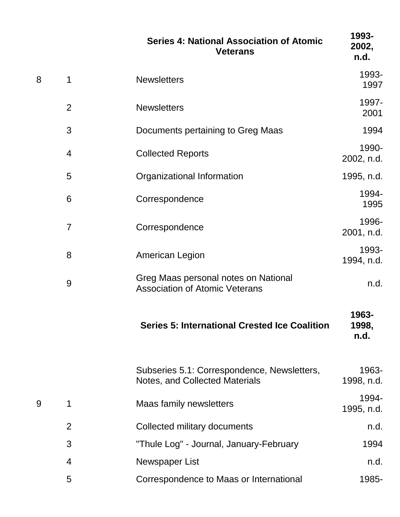|   |                | <b>Series 4: National Association of Atomic</b><br><b>Veterans</b>            | 1993-<br>2002,<br>n.d. |
|---|----------------|-------------------------------------------------------------------------------|------------------------|
| 8 | 1              | <b>Newsletters</b>                                                            | 1993-<br>1997          |
|   | $\overline{2}$ | <b>Newsletters</b>                                                            | 1997-<br>2001          |
|   | 3              | Documents pertaining to Greg Maas                                             | 1994                   |
|   | 4              | <b>Collected Reports</b>                                                      | 1990-<br>2002, n.d.    |
|   | 5              | Organizational Information                                                    | 1995, n.d.             |
|   | 6              | Correspondence                                                                | 1994-<br>1995          |
|   | $\overline{7}$ | Correspondence                                                                | 1996-<br>2001, n.d.    |
|   | 8              | <b>American Legion</b>                                                        | 1993-<br>1994, n.d.    |
|   | 9              | Greg Maas personal notes on National<br><b>Association of Atomic Veterans</b> | n.d.                   |
|   |                | <b>Series 5: International Crested Ice Coalition</b>                          | 1963-<br>1998,<br>n.d. |
|   |                | Subseries 5.1: Correspondence, Newsletters,<br>Notes, and Collected Materials | 1963-<br>1998, n.d.    |
| 9 | 1              | <b>Maas family newsletters</b>                                                | 1994-<br>1995, n.d.    |
|   | $\overline{2}$ | Collected military documents                                                  | n.d.                   |
|   | 3              | "Thule Log" - Journal, January-February                                       | 1994                   |
|   | 4              | Newspaper List                                                                | n.d.                   |
|   | 5              | Correspondence to Maas or International                                       | 1985-                  |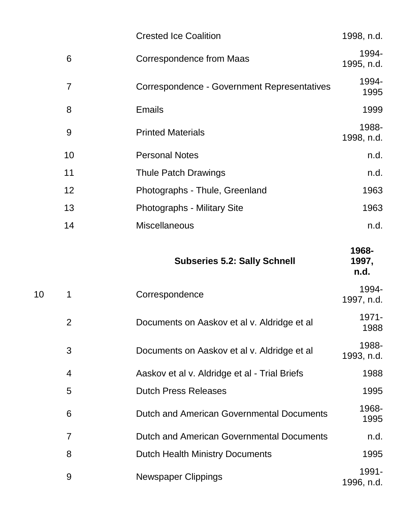|    | <b>Crested Ice Coalition</b>                | 1998, n.d.          |
|----|---------------------------------------------|---------------------|
| 6  | Correspondence from Maas                    | 1994-<br>1995, n.d. |
|    | Correspondence - Government Representatives | 1994-<br>1995       |
| 8  | <b>Emails</b>                               | 1999                |
| 9  | <b>Printed Materials</b>                    | 1988-<br>1998, n.d. |
| 10 | <b>Personal Notes</b>                       | n.d.                |
| 11 | <b>Thule Patch Drawings</b>                 | n.d.                |
| 12 | Photographs - Thule, Greenland              | 1963                |
| 13 | <b>Photographs - Military Site</b>          | 1963                |
| 14 | <b>Miscellaneous</b>                        | n.d.                |
|    |                                             |                     |

|    |                | <b>Subseries 5.2: Sally Schnell</b>           | 1968-<br>1997,<br>n.d. |
|----|----------------|-----------------------------------------------|------------------------|
| 10 | 1              | Correspondence                                | 1994-<br>1997, n.d.    |
|    | $\overline{2}$ | Documents on Aaskov et al v. Aldridge et al   | 1971-<br>1988          |
|    | 3              | Documents on Aaskov et al v. Aldridge et al   | 1988-<br>1993, n.d.    |
|    | $\overline{4}$ | Aaskov et al v. Aldridge et al - Trial Briefs | 1988                   |
|    | 5              | <b>Dutch Press Releases</b>                   | 1995                   |
|    | 6              | Dutch and American Governmental Documents     | 1968-<br>1995          |
|    | $\overline{7}$ | Dutch and American Governmental Documents     | n.d.                   |
|    | 8              | <b>Dutch Health Ministry Documents</b>        | 1995                   |
|    | 9              | <b>Newspaper Clippings</b>                    | 1991-<br>1996, n.d.    |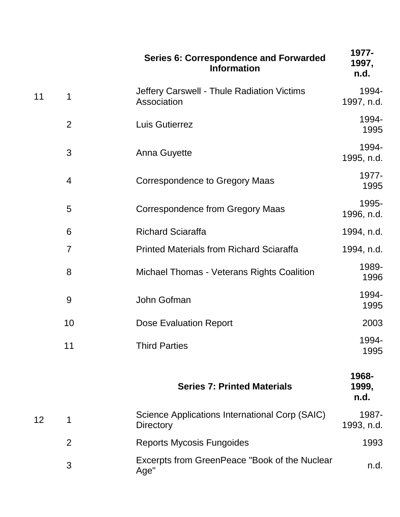|    |                | <b>Series 6: Correspondence and Forwarded</b><br><b>Information</b> | 1977-<br>1997,<br>n.d. |
|----|----------------|---------------------------------------------------------------------|------------------------|
| 11 | 1              | Jeffery Carswell - Thule Radiation Victims<br>Association           | 1994-<br>1997, n.d.    |
|    | $\overline{2}$ | Luis Gutierrez                                                      | 1994-<br>1995          |
|    | 3              | <b>Anna Guyette</b>                                                 | 1994-<br>1995, n.d.    |
|    | $\overline{4}$ | Correspondence to Gregory Maas                                      | 1977-<br>1995          |
|    | 5              | <b>Correspondence from Gregory Maas</b>                             | 1995-<br>1996, n.d.    |
|    | 6              | <b>Richard Sciaraffa</b>                                            | 1994, n.d.             |
|    | $\overline{7}$ | <b>Printed Materials from Richard Sciaraffa</b>                     | 1994, n.d.             |
|    | 8              | Michael Thomas - Veterans Rights Coalition                          | 1989-<br>1996          |
|    | 9              | John Gofman                                                         | 1994-<br>1995          |
|    | 10             | <b>Dose Evaluation Report</b>                                       | 2003                   |
|    | 11             | <b>Third Parties</b>                                                | 1994-<br>1995          |
|    |                | <b>Series 7: Printed Materials</b>                                  | 1968-<br>1999,<br>n.d. |
| 12 | 1              | Science Applications International Corp (SAIC)<br><b>Directory</b>  | 1987-<br>1993, n.d.    |
|    | $\overline{2}$ | <b>Reports Mycosis Fungoides</b>                                    | 1993                   |
|    | 3              | Excerpts from GreenPeace "Book of the Nuclear<br>Age"               | n.d.                   |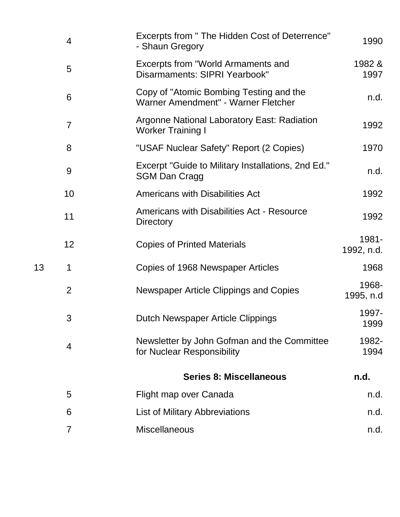|    | $\overline{4}$ | Excerpts from " The Hidden Cost of Deterrence"<br>- Shaun Gregory              | 1990                |
|----|----------------|--------------------------------------------------------------------------------|---------------------|
|    | 5              | Excerpts from "World Armaments and<br>Disarmaments: SIPRI Yearbook"            | 1982 &<br>1997      |
|    | 6              | Copy of "Atomic Bombing Testing and the<br>Warner Amendment" - Warner Fletcher | n.d.                |
|    | $\overline{7}$ | <b>Argonne National Laboratory East: Radiation</b><br><b>Worker Training I</b> | 1992                |
|    | 8              | "USAF Nuclear Safety" Report (2 Copies)                                        | 1970                |
|    | 9              | Excerpt "Guide to Military Installations, 2nd Ed."<br><b>SGM Dan Cragg</b>     | n.d.                |
|    | 10             | <b>Americans with Disabilities Act</b>                                         | 1992                |
|    | 11             | <b>Americans with Disabilities Act - Resource</b><br><b>Directory</b>          | 1992                |
|    | 12             | <b>Copies of Printed Materials</b>                                             | 1981-<br>1992, n.d. |
| 13 | 1              | Copies of 1968 Newspaper Articles                                              | 1968                |
|    | $\overline{2}$ | Newspaper Article Clippings and Copies                                         | 1968-<br>1995, n.d  |
|    | 3              | Dutch Newspaper Article Clippings                                              | 1997-<br>1999       |
|    | $\overline{4}$ | Newsletter by John Gofman and the Committee<br>for Nuclear Responsibility      | 1982-<br>1994       |
|    |                | <b>Series 8: Miscellaneous</b>                                                 | n.d.                |
|    | 5              | Flight map over Canada                                                         | n.d.                |
|    | 6              | <b>List of Military Abbreviations</b>                                          | n.d.                |
|    |                |                                                                                |                     |